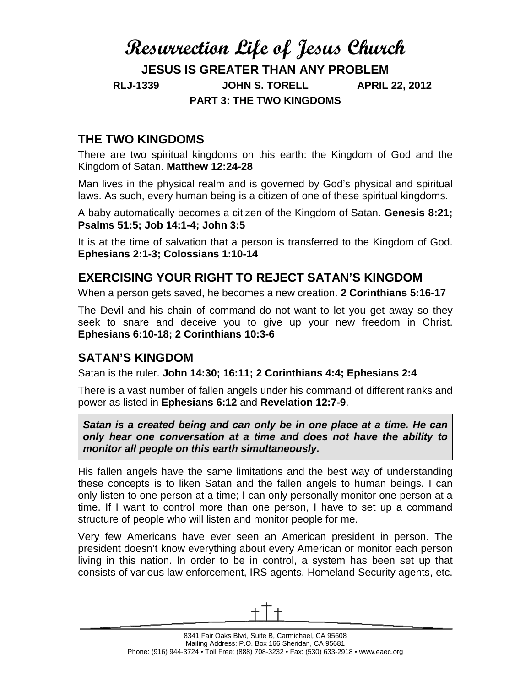# **Resurrection Life of Jesus Church JESUS IS GREATER THAN ANY PROBLEM RLJ-1339 JOHN S. TORELL APRIL 22, 2012 PART 3: THE TWO KINGDOMS**

## **THE TWO KINGDOMS**

There are two spiritual kingdoms on this earth: the Kingdom of God and the Kingdom of Satan. **Matthew 12:24-28**

Man lives in the physical realm and is governed by God's physical and spiritual laws. As such, every human being is a citizen of one of these spiritual kingdoms.

A baby automatically becomes a citizen of the Kingdom of Satan. **Genesis 8:21; Psalms 51:5; Job 14:1-4; John 3:5**

It is at the time of salvation that a person is transferred to the Kingdom of God. **Ephesians 2:1-3; Colossians 1:10-14**

## **EXERCISING YOUR RIGHT TO REJECT SATAN'S KINGDOM**

When a person gets saved, he becomes a new creation. **2 Corinthians 5:16-17**

The Devil and his chain of command do not want to let you get away so they seek to snare and deceive you to give up your new freedom in Christ. **Ephesians 6:10-18; 2 Corinthians 10:3-6**

### **SATAN'S KINGDOM**

Satan is the ruler. **John 14:30; 16:11; 2 Corinthians 4:4; Ephesians 2:4**

There is a vast number of fallen angels under his command of different ranks and power as listed in **Ephesians 6:12** and **Revelation 12:7-9**.

*Satan is a created being and can only be in one place at a time. He can only hear one conversation at a time and does not have the ability to monitor all people on this earth simultaneously.*

His fallen angels have the same limitations and the best way of understanding these concepts is to liken Satan and the fallen angels to human beings. I can only listen to one person at a time; I can only personally monitor one person at a time. If I want to control more than one person, I have to set up a command structure of people who will listen and monitor people for me.

Very few Americans have ever seen an American president in person. The president doesn't know everything about every American or monitor each person living in this nation. In order to be in control, a system has been set up that consists of various law enforcement, IRS agents, Homeland Security agents, etc.

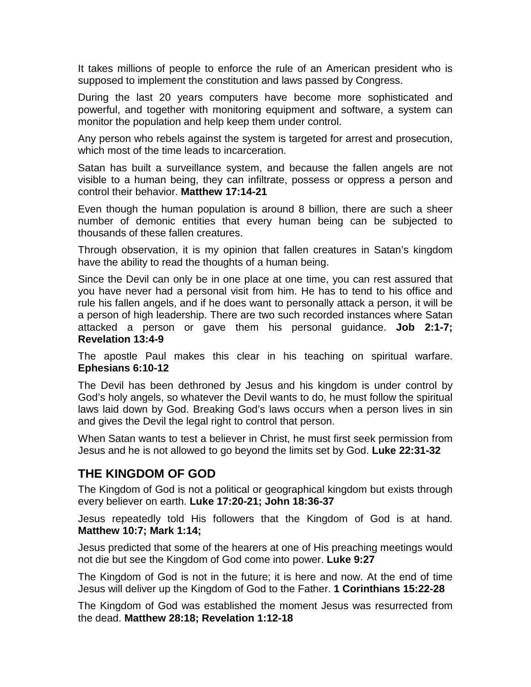It takes millions of people to enforce the rule of an American president who is supposed to implement the constitution and laws passed by Congress.

During the last 20 years computers have become more sophisticated and powerful, and together with monitoring equipment and software, a system can monitor the population and help keep them under control.

Any person who rebels against the system is targeted for arrest and prosecution, which most of the time leads to incarceration.

Satan has built a surveillance system, and because the fallen angels are not visible to a human being, they can infiltrate, possess or oppress a person and control their behavior. **Matthew 17:14-21**

Even though the human population is around 8 billion, there are such a sheer number of demonic entities that every human being can be subjected to thousands of these fallen creatures.

Through observation, it is my opinion that fallen creatures in Satan's kingdom have the ability to read the thoughts of a human being.

Since the Devil can only be in one place at one time, you can rest assured that you have never had a personal visit from him. He has to tend to his office and rule his fallen angels, and if he does want to personally attack a person, it will be a person of high leadership. There are two such recorded instances where Satan attacked a person or gave them his personal guidance. **Job 2:1-7; Revelation 13:4-9**

The apostle Paul makes this clear in his teaching on spiritual warfare. **Ephesians 6:10-12**

The Devil has been dethroned by Jesus and his kingdom is under control by God's holy angels, so whatever the Devil wants to do, he must follow the spiritual laws laid down by God. Breaking God's laws occurs when a person lives in sin and gives the Devil the legal right to control that person.

When Satan wants to test a believer in Christ, he must first seek permission from Jesus and he is not allowed to go beyond the limits set by God. **Luke 22:31-32**

### **THE KINGDOM OF GOD**

The Kingdom of God is not a political or geographical kingdom but exists through every believer on earth. **Luke 17:20-21; John 18:36-37**

Jesus repeatedly told His followers that the Kingdom of God is at hand. **Matthew 10:7; Mark 1:14;**

Jesus predicted that some of the hearers at one of His preaching meetings would not die but see the Kingdom of God come into power. **Luke 9:27**

The Kingdom of God is not in the future; it is here and now. At the end of time Jesus will deliver up the Kingdom of God to the Father. **1 Corinthians 15:22-28**

The Kingdom of God was established the moment Jesus was resurrected from the dead. **Matthew 28:18; Revelation 1:12-18**